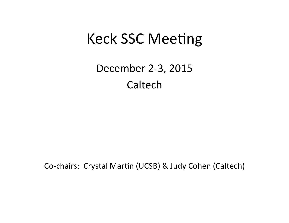#### **Keck SSC Meeting**

December 2-3, 2015 Caltech

Co-chairs: Crystal Martin (UCSB) & Judy Cohen (Caltech)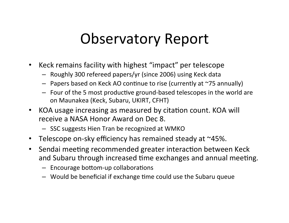### **Observatory Report**

- Keck remains facility with highest "impact" per telescope  $\bullet$ 
	- Roughly 300 refereed papers/yr (since 2006) using Keck data
	- Papers based on Keck AO continue to rise (currently at  $\sim$ 75 annually)
	- Four of the 5 most productive ground-based telescopes in the world are on Maunakea (Keck, Subaru, UKIRT, CFHT)
- KOA usage increasing as measured by citation count. KOA will receive a NASA Honor Award on Dec 8.
	- SSC suggests Hien Tran be recognized at WMKO
- Telescope on-sky efficiency has remained steady at ~45%.
- Sendai meeting recommended greater interaction between Keck  $\bullet$ and Subaru through increased time exchanges and annual meeting.
	- Encourage bottom-up collaborations
	- Would be beneficial if exchange time could use the Subaru queue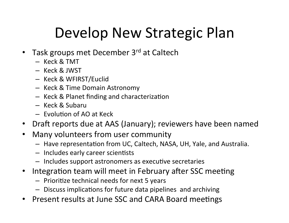# Develop New Strategic Plan

- Task groups met December 3rd at Caltech
	- $-$  Keck & TMT
	- $-$  Keck & JWST
	- Keck%&%WFIRST/Euclid%
	- Keck & Time Domain Astronomy
	- $-$  Keck & Planet finding and characterization
	- Keck & Subaru
	- $-$  Evolution of AO at Keck
- Draft reports due at AAS (January); reviewers have been named
- Many volunteers from user community
	- Have representation from UC, Caltech, NASA, UH, Yale, and Australia.
	- $-$  Includes early career scientists
	- $-$  Includes support astronomers as executive secretaries
- Integration team will meet in February after SSC meeting
	- $-$  Prioritize technical needs for next 5 years
	- $-$  Discuss implications for future data pipelines and archiving
- **Present results at June SSC and CARA Board meetings**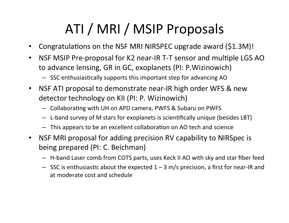## ATI / MRI / MSIP Proposals

- Congratulations on the NSF MRI NIRSPEC upgrade award  $($1.3M)!$
- NSF MSIP Pre-proposal for K2 near-IR T-T sensor and multiple LGS AO to advance lensing, GR in GC, exoplanets (PI: P. Wizinowich)
	- $-$  SSC enthusiastically supports this important step for advancing AO
- NSF ATI proposal to demonstrate near-IR high order WFS & new detector technology on KII (PI: P. Wizinowich)
	- $-$  Collaborating with UH on APD camera, PWFS & Subaru on PWFS
	- L-band survey of M stars for exoplanets is scientifically unique (besides LBT)
	- $-$  This appears to be an excellent collaboration on AO tech and science
- NSF MRI proposal for adding precision RV capability to NIRSpec is being prepared (PI: C. Beichman)
	- $-$  H-band Laser comb from COTS parts, uses Keck II AO with sky and star fiber feed
	- $-$  SSC is enthusiastic about the expected 1 3 m/s precision, a first for near-IR and at moderate cost and schedule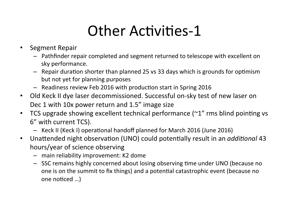# Other Activities-1

- Segment Repair
	- $-$  Pathfinder repair completed and segment returned to telescope with excellent on sky performance.
	- $-$  Repair duration shorter than planned 25 vs 33 days which is grounds for optimism but not yet for planning purposes
	- $-$  Readiness review Feb 2016 with production start in Spring 2016
- Old Keck II dye laser decommissioned. Successful on-sky test of new laser on Dec 1 with 10x power return and  $1.5"$  image size
- TCS upgrade showing excellent technical performance ( $\gamma$ 1" rms blind pointing vs 6" with current TCS).
	- Keck II (Keck I) operational handoff planned for March 2016 (June 2016)
- Unattended night observation (UNO) could potentially result in an *additional* 43 hours/year of science observing
	- $-$  main reliability improvement: K2 dome
	- SSC remains highly concerned about losing observing time under UNO (because no one is on the summit to fix things) and a potential catastrophic event (because no one noticed ...)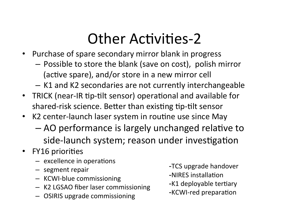## **Other Activities-2**

- Purchase of spare secondary mirror blank in progress
	- Possible to store the blank (save on cost), polish mirror (active spare), and/or store in a new mirror cell
	- K1 and K2 secondaries are not currently interchangeable
- TRICK (near-IR tip-tilt sensor) operational and available for shared-risk science. Better than existing tip-tilt sensor
- K2 center-launch laser system in routine use since May
	- AO performance is largely unchanged relative to side-launch system; reason under investigation
- **FY16 priorities**  $\bullet$ 
	- $-$  excellence in operations
	- segment repair
	- KCWI-blue commissioning
	- K2 LGSAO fiber laser commissioning
	- OSIRIS upgrade commissioning
- -TCS upgrade handover
- -NIRES installation
- -K1 deployable tertiary
- -KCWI-red preparation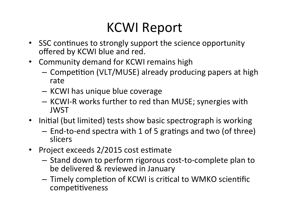#### **KCWI Report**

- SSC continues to strongly support the science opportunity offered by KCWI blue and red.
- Community demand for KCWI remains high
	- Competition (VLT/MUSE) already producing papers at high rate
	- KCWI has unique blue coverage
	- KCWI-R works further to red than MUSE; synergies with **JWST**
- Initial (but limited) tests show basic spectrograph is working
	- End-to-end spectra with 1 of 5 gratings and two (of three) slicers
- Project exceeds 2/2015 cost estimate
	- Stand down to perform rigorous cost-to-complete plan to be delivered & reviewed in January
	- Timely completion of KCWI is critical to WMKO scientific competitiveness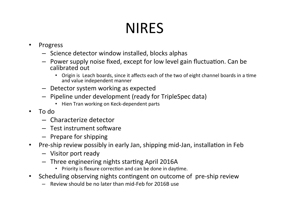# **NIRES**

#### • Progress

- $-$  Science detector window installed, blocks alphas
- $-$  Power supply noise fixed, except for low level gain fluctuation. Can be calibrated out
	- Origin is Leach boards, since it affects each of the two of eight channel boards in a time and value independent manner
- $-$  Detector system working as expected
- $-$  Pipeline under development (ready for TripleSpec data)
	- Hien Tran working on Keck-dependent parts
- $\cdot$  To do
	- $-$  Characterize detector
	- $-$  Test instrument software
	- $-$  Prepare for shipping
- Pre-ship review possibly in early Jan, shipping mid-Jan, installation in Feb
	- $-$  Visitor port ready
	- $-$  Three engineering nights starting April 2016A
		- Priority is flexure correction and can be done in daytime.
- Scheduling observing nights contingent on outcome of pre-ship review
	- $-$  Review should be no later than mid-Feb for 2016B use